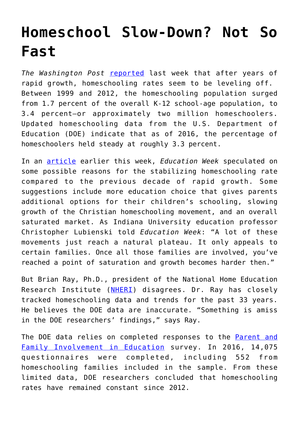## **[Homeschool Slow-Down? Not So](https://intellectualtakeout.org/2017/10/homeschool-slow-down-not-so-fast/) [Fast](https://intellectualtakeout.org/2017/10/homeschool-slow-down-not-so-fast/)**

*The Washington Post* [reported](https://www.washingtonpost.com/news/answer-sheet/wp/2017/09/26/home-schooling-was-once-a-rising-trend-new-data-show-something-different/?utm_term=.6ca938b16752) last week that after years of rapid growth, homeschooling rates seem to be leveling off. Between 1999 and 2012, the homeschooling population surged from 1.7 percent of the overall K-12 school-age population, to 3.4 percent—or approximately two million homeschoolers. Updated homeschooling data from the U.S. Department of Education (DOE) indicate that as of 2016, the percentage of homeschoolers held steady at roughly 3.3 percent.

In an [article](http://blogs.edweek.org/edweek/charterschoice/2017/10/why_have_homeschooling_numbers_flattened_out_after_a_decade_of_growth.html) earlier this week, *Education Week* speculated on some possible reasons for the stabilizing homeschooling rate compared to the previous decade of rapid growth. Some suggestions include more education choice that gives parents additional options for their children's schooling, slowing growth of the Christian homeschooling movement, and an overall saturated market. As Indiana University education professor Christopher Lubienski told *Education Week*: "A lot of these movements just reach a natural plateau. It only appeals to certain families. Once all those families are involved, you've reached a point of saturation and growth becomes harder then."

But Brian Ray, Ph.D., president of the National Home Education Research Institute ([NHERI](https://nheri.org/)) disagrees. Dr. Ray has closely tracked homeschooling data and trends for the past 33 years. He believes the DOE data are inaccurate. "Something is amiss in the DOE researchers' findings," says Ray.

The DOE data relies on completed responses to the [Parent and](https://nces.ed.gov/pubs2017/2017102.pdf) [Family Involvement in Education](https://nces.ed.gov/pubs2017/2017102.pdf) survey. In 2016, 14,075 questionnaires were completed, including 552 from homeschooling families included in the sample. From these limited data, DOE researchers concluded that homeschooling rates have remained constant since 2012.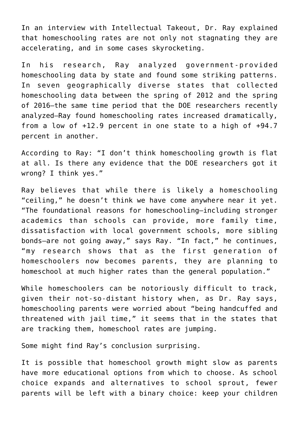In an interview with Intellectual Takeout, Dr. Ray explained that homeschooling rates are not only not stagnating they are accelerating, and in some cases skyrocketing.

In his research, Ray analyzed government-provided homeschooling data by state and found some striking patterns. In seven geographically diverse states that collected homeschooling data between the spring of 2012 and the spring of 2016—the same time period that the DOE researchers recently analyzed—Ray found homeschooling rates increased dramatically, from a low of +12.9 percent in one state to a high of +94.7 percent in another.

According to Ray: "I don't think homeschooling growth is flat at all. Is there any evidence that the DOE researchers got it wrong? I think yes."

Ray believes that while there is likely a homeschooling "ceiling," he doesn't think we have come anywhere near it yet. "The foundational reasons for homeschooling—including stronger academics than schools can provide, more family time, dissatisfaction with local government schools, more sibling bonds—are not going away," says Ray. "In fact," he continues, "my research shows that as the first generation of homeschoolers now becomes parents, they are planning to homeschool at much higher rates than the general population."

While homeschoolers can be notoriously difficult to track, given their not-so-distant history when, as Dr. Ray says, homeschooling parents were worried about "being handcuffed and threatened with jail time," it seems that in the states that are tracking them, homeschool rates are jumping.

Some might find Ray's conclusion surprising.

It is possible that homeschool growth might slow as parents have more educational options from which to choose. As school choice expands and alternatives to school sprout, fewer parents will be left with a binary choice: keep your children